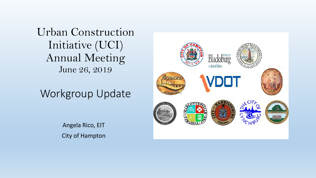Urban Construction Initiative (UCI) Annual Meeting June 26, 2019

# Workgroup Update

Angela Rico, EIT City of Hampton

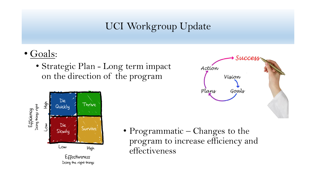## UCI Workgroup Update

- Goals:
	- Strategic Plan Long term impact on the direction of the program





• Programmatic – Changes to the program to increase efficiency and effectiveness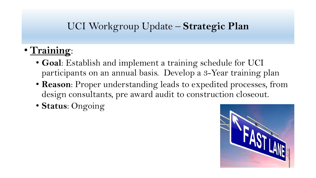## UCI Workgroup Update – **Strategic Plan**

- **Training**:
	- **Goal**: Establish and implement a training schedule for UCI participants on an annual basis. Develop a 3-Year training plan
	- **Reason**: Proper understanding leads to expedited processes, from design consultants, pre award audit to construction closeout.
	- **Status**: Ongoing

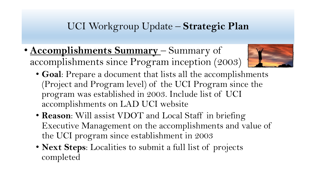#### UCI Workgroup Update – **Strategic Plan**

• **Accomplishments Summary** – Summary of accomplishments since Program inception (2003)



- **Goal**: Prepare a document that lists all the accomplishments (Project and Program level) of the UCI Program since the program was established in 2003. Include list of UCI accomplishments on LAD UCI website
- **Reason**: Will assist VDOT and Local Staff in briefing Executive Management on the accomplishments and value of the UCI program since establishment in 2003
- **Next Steps**: Localities to submit a full list of projects completed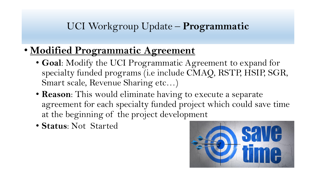- **Modified Programmatic Agreement** 
	- **Goal**: Modify the UCI Programmatic Agreement to expand for specialty funded programs (i.e include CMAQ, RSTP, HSIP, SGR, Smart scale, Revenue Sharing etc…)
	- **Reason**: This would eliminate having to execute a separate agreement for each specialty funded project which could save time at the beginning of the project development
	- **Status**: Not Started

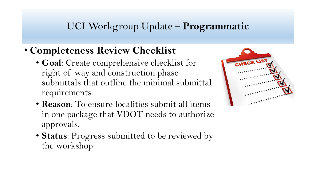- **Completeness Review Checklist** 
	- **Goal**: Create comprehensive checklist for right of way and construction phase submittals that outline the minimal submittal requirements
	- **Reason**: To ensure localities submit all items in one package that VDOT needs to authorize approvals.
	- **Status**: Progress submitted to be reviewed by the workshop

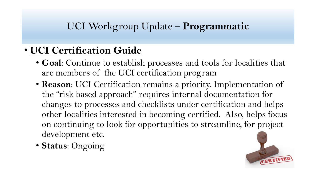# • **UCI Certification Guide**

- **Goal**: Continue to establish processes and tools for localities that are members of the UCI certification program
- **Reason**: UCI Certification remains a priority. Implementation of the "risk based approach" requires internal documentation for changes to processes and checklists under certification and helps other localities interested in becoming certified. Also, helps focus on continuing to look for opportunities to streamline, for project development etc.
- **Status**: Ongoing

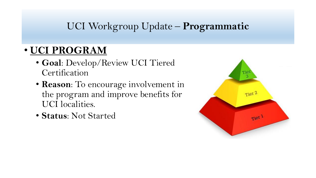# • **UCI PROGRAM**

- **Goal**: Develop/Review UCI Tiered Certification
- **Reason**: To encourage involvement in the program and improve benefits for UCI localities.
- **Status**: Not Started